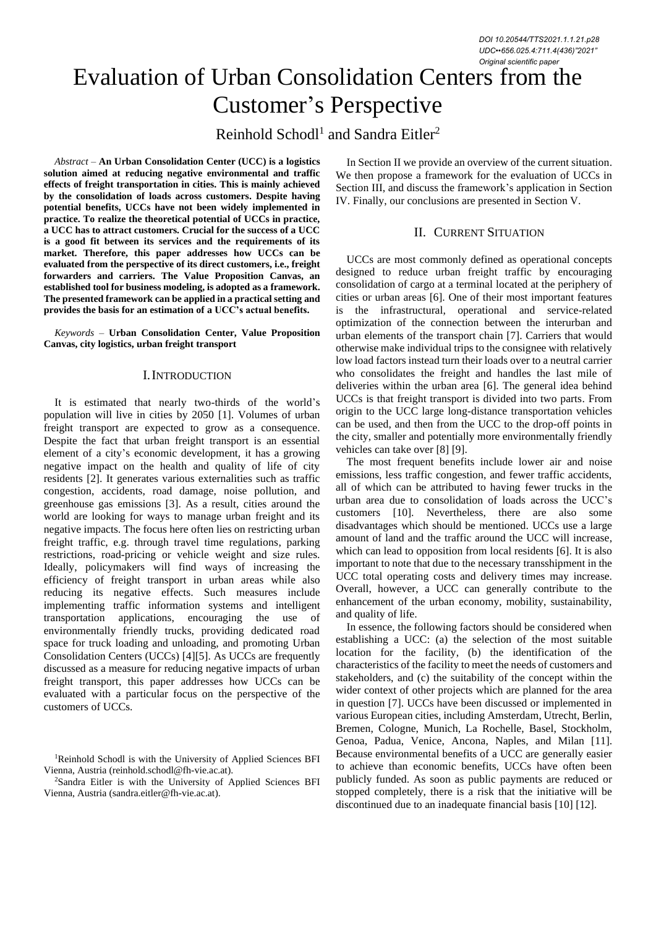# Evaluation of Urban Consolidation Centers from the Customer's Perspective

Reinhold Schodl<sup>1</sup> and Sandra Eitler<sup>2</sup>

*Abstract –* **An Urban Consolidation Center (UCC) is a logistics solution aimed at reducing negative environmental and traffic effects of freight transportation in cities. This is mainly achieved by the consolidation of loads across customers. Despite having potential benefits, UCCs have not been widely implemented in practice. To realize the theoretical potential of UCCs in practice, a UCC has to attract customers. Crucial for the success of a UCC is a good fit between its services and the requirements of its market. Therefore, this paper addresses how UCCs can be evaluated from the perspective of its direct customers, i.e., freight forwarders and carriers. The Value Proposition Canvas, an established tool for business modeling, is adopted as a framework. The presented framework can be applied in a practical setting and provides the basis for an estimation of a UCC's actual benefits.**

*Keywords –* **Urban Consolidation Center, Value Proposition Canvas, city logistics, urban freight transport**

### I.INTRODUCTION

It is estimated that nearly two-thirds of the world's population will live in cities by 2050 [1]. Volumes of urban freight transport are expected to grow as a consequence. Despite the fact that urban freight transport is an essential element of a city's economic development, it has a growing negative impact on the health and quality of life of city residents [2]. It generates various externalities such as traffic congestion, accidents, road damage, noise pollution, and greenhouse gas emissions [3]. As a result, cities around the world are looking for ways to manage urban freight and its negative impacts. The focus here often lies on restricting urban freight traffic, e.g. through travel time regulations, parking restrictions, road-pricing or vehicle weight and size rules. Ideally, policymakers will find ways of increasing the efficiency of freight transport in urban areas while also reducing its negative effects. Such measures include implementing traffic information systems and intelligent transportation applications, encouraging the use of environmentally friendly trucks, providing dedicated road space for truck loading and unloading, and promoting Urban Consolidation Centers (UCCs) [4][5]. As UCCs are frequently discussed as a measure for reducing negative impacts of urban freight transport, this paper addresses how UCCs can be evaluated with a particular focus on the perspective of the customers of UCCs.

<sup>2</sup>Sandra Eitler is with the University of Applied Sciences BFI Vienna, Austria (sandra.eitler@fh-vie.ac.at).

In Section II we provide an overview of the current situation. We then propose a framework for the evaluation of UCCs in Section III, and discuss the framework's application in Section IV. Finally, our conclusions are presented in Section V.

## II. CURRENT SITUATION

UCCs are most commonly defined as operational concepts designed to reduce urban freight traffic by encouraging consolidation of cargo at a terminal located at the periphery of cities or urban areas [6]. One of their most important features is the infrastructural, operational and service-related optimization of the connection between the interurban and urban elements of the transport chain [7]. Carriers that would otherwise make individual trips to the consignee with relatively low load factors instead turn their loads over to a neutral carrier who consolidates the freight and handles the last mile of deliveries within the urban area [6]. The general idea behind UCCs is that freight transport is divided into two parts. From origin to the UCC large long-distance transportation vehicles can be used, and then from the UCC to the drop-off points in the city, smaller and potentially more environmentally friendly vehicles can take over [8] [9].

The most frequent benefits include lower air and noise emissions, less traffic congestion, and fewer traffic accidents, all of which can be attributed to having fewer trucks in the urban area due to consolidation of loads across the UCC's customers [10]. Nevertheless, there are also some disadvantages which should be mentioned. UCCs use a large amount of land and the traffic around the UCC will increase, which can lead to opposition from local residents [6]. It is also important to note that due to the necessary transshipment in the UCC total operating costs and delivery times may increase. Overall, however, a UCC can generally contribute to the enhancement of the urban economy, mobility, sustainability, and quality of life.

In essence, the following factors should be considered when establishing a UCC: (a) the selection of the most suitable location for the facility, (b) the identification of the characteristics of the facility to meet the needs of customers and stakeholders, and (c) the suitability of the concept within the wider context of other projects which are planned for the area in question [7]. UCCs have been discussed or implemented in various European cities, including Amsterdam, Utrecht, Berlin, Bremen, Cologne, Munich, La Rochelle, Basel, Stockholm, Genoa, Padua, Venice, Ancona, Naples, and Milan [11]. Because environmental benefits of a UCC are generally easier to achieve than economic benefits, UCCs have often been publicly funded. As soon as public payments are reduced or stopped completely, there is a risk that the initiative will be discontinued due to an inadequate financial basis [10] [12].

<sup>1</sup>Reinhold Schodl is with the University of Applied Sciences BFI Vienna, Austria (reinhold.schodl@fh-vie.ac.at).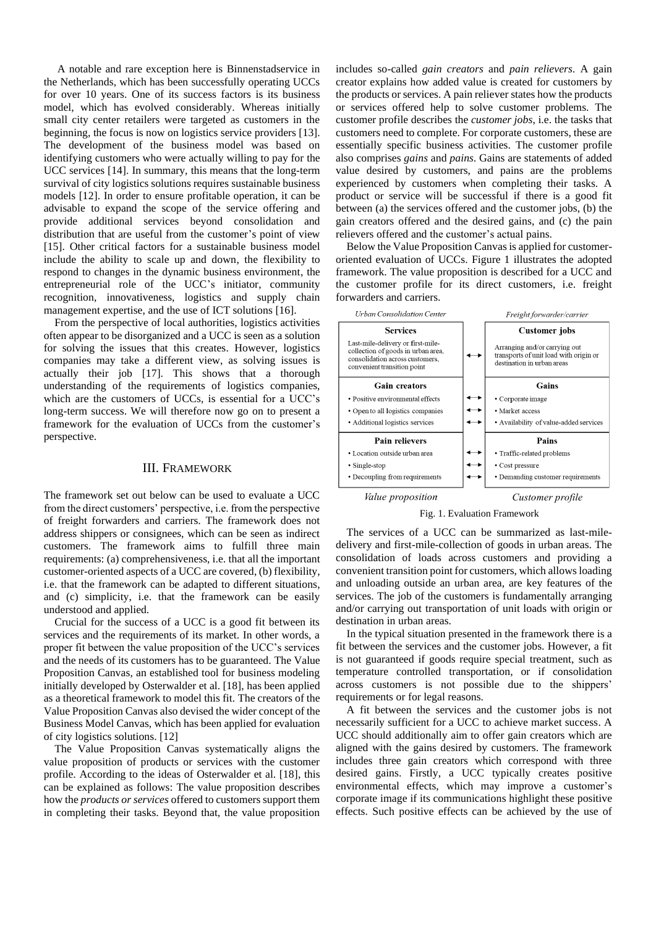A notable and rare exception here is Binnenstadservice in the Netherlands, which has been successfully operating UCCs for over 10 years. One of its success factors is its business model, which has evolved considerably. Whereas initially small city center retailers were targeted as customers in the beginning, the focus is now on logistics service providers [13]. The development of the business model was based on identifying customers who were actually willing to pay for the UCC services [14]. In summary, this means that the long-term survival of city logistics solutions requires sustainable business models [12]. In order to ensure profitable operation, it can be advisable to expand the scope of the service offering and provide additional services beyond consolidation and distribution that are useful from the customer's point of view [15]. Other critical factors for a sustainable business model include the ability to scale up and down, the flexibility to respond to changes in the dynamic business environment, the entrepreneurial role of the UCC's initiator, community recognition, innovativeness, logistics and supply chain management expertise, and the use of ICT solutions [16].

From the perspective of local authorities, logistics activities often appear to be disorganized and a UCC is seen as a solution for solving the issues that this creates. However, logistics companies may take a different view, as solving issues is actually their job [17]. This shows that a thorough understanding of the requirements of logistics companies, which are the customers of UCCs, is essential for a UCC's long-term success. We will therefore now go on to present a framework for the evaluation of UCCs from the customer's perspective.

#### III. FRAMEWORK

The framework set out below can be used to evaluate a UCC from the direct customers' perspective, i.e. from the perspective of freight forwarders and carriers. The framework does not address shippers or consignees, which can be seen as indirect customers. The framework aims to fulfill three main requirements: (a) comprehensiveness, i.e. that all the important customer-oriented aspects of a UCC are covered, (b) flexibility, i.e. that the framework can be adapted to different situations, and (c) simplicity, i.e. that the framework can be easily understood and applied.

Crucial for the success of a UCC is a good fit between its services and the requirements of its market. In other words, a proper fit between the value proposition of the UCC's services and the needs of its customers has to be guaranteed. The Value Proposition Canvas, an established tool for business modeling initially developed by Osterwalder et al. [18], has been applied as a theoretical framework to model this fit. The creators of the Value Proposition Canvas also devised the wider concept of the Business Model Canvas, which has been applied for evaluation of city logistics solutions. [12]

The Value Proposition Canvas systematically aligns the value proposition of products or services with the customer profile. According to the ideas of Osterwalder et al. [18], this can be explained as follows: The value proposition describes how the *products or services* offered to customers support them in completing their tasks. Beyond that, the value proposition includes so-called *gain creators* and *pain relievers*. A gain creator explains how added value is created for customers by the products or services. A pain reliever states how the products or services offered help to solve customer problems. The customer profile describes the *customer jobs*, i.e. the tasks that customers need to complete. For corporate customers, these are essentially specific business activities. The customer profile also comprises *gains* and *pains*. Gains are statements of added value desired by customers, and pains are the problems experienced by customers when completing their tasks. A product or service will be successful if there is a good fit between (a) the services offered and the customer jobs, (b) the gain creators offered and the desired gains, and (c) the pain relievers offered and the customer's actual pains.

Below the Value Proposition Canvas is applied for customeroriented evaluation of UCCs. Figure 1 illustrates the adopted framework. The value proposition is described for a UCC and the customer profile for its direct customers, i.e. freight forwarders and carriers.



Value proposition

Fig. 1. Evaluation Framework

The services of a UCC can be summarized as last-miledelivery and first-mile-collection of goods in urban areas. The consolidation of loads across customers and providing a convenient transition point for customers, which allows loading and unloading outside an urban area, are key features of the services. The job of the customers is fundamentally arranging and/or carrying out transportation of unit loads with origin or destination in urban areas.

In the typical situation presented in the framework there is a fit between the services and the customer jobs. However, a fit is not guaranteed if goods require special treatment, such as temperature controlled transportation, or if consolidation across customers is not possible due to the shippers' requirements or for legal reasons.

A fit between the services and the customer jobs is not necessarily sufficient for a UCC to achieve market success. A UCC should additionally aim to offer gain creators which are aligned with the gains desired by customers. The framework includes three gain creators which correspond with three desired gains. Firstly, a UCC typically creates positive environmental effects, which may improve a customer's corporate image if its communications highlight these positive effects. Such positive effects can be achieved by the use of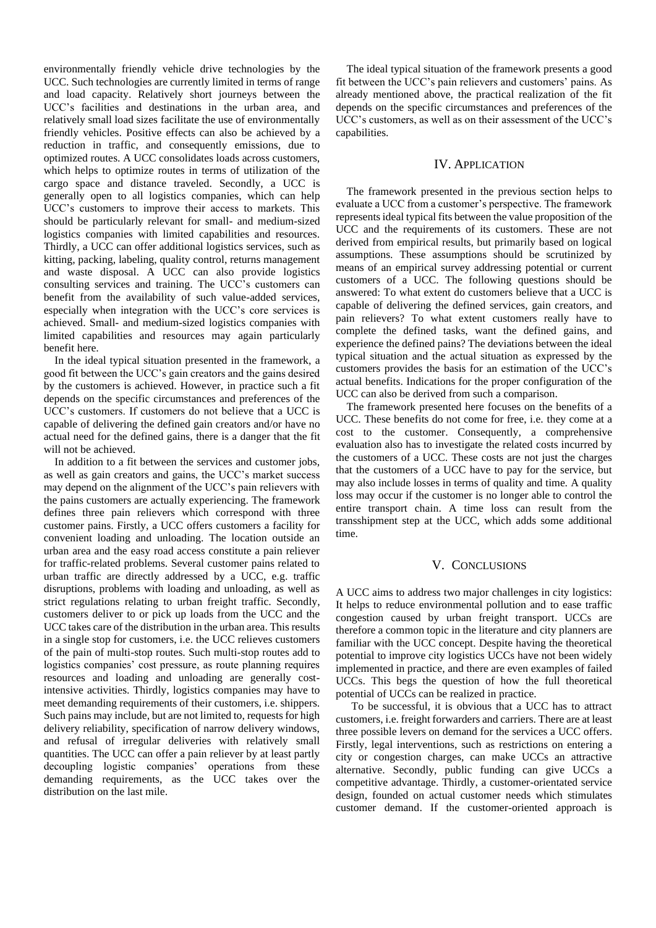environmentally friendly vehicle drive technologies by the UCC. Such technologies are currently limited in terms of range and load capacity. Relatively short journeys between the UCC's facilities and destinations in the urban area, and relatively small load sizes facilitate the use of environmentally friendly vehicles. Positive effects can also be achieved by a reduction in traffic, and consequently emissions, due to optimized routes. A UCC consolidates loads across customers, which helps to optimize routes in terms of utilization of the cargo space and distance traveled. Secondly, a UCC is generally open to all logistics companies, which can help UCC's customers to improve their access to markets. This should be particularly relevant for small- and medium-sized logistics companies with limited capabilities and resources. Thirdly, a UCC can offer additional logistics services, such as kitting, packing, labeling, quality control, returns management and waste disposal. A UCC can also provide logistics consulting services and training. The UCC's customers can benefit from the availability of such value-added services, especially when integration with the UCC's core services is achieved. Small- and medium-sized logistics companies with limited capabilities and resources may again particularly benefit here.

In the ideal typical situation presented in the framework, a good fit between the UCC's gain creators and the gains desired by the customers is achieved. However, in practice such a fit depends on the specific circumstances and preferences of the UCC's customers. If customers do not believe that a UCC is capable of delivering the defined gain creators and/or have no actual need for the defined gains, there is a danger that the fit will not be achieved.

In addition to a fit between the services and customer jobs, as well as gain creators and gains, the UCC's market success may depend on the alignment of the UCC's pain relievers with the pains customers are actually experiencing. The framework defines three pain relievers which correspond with three customer pains. Firstly, a UCC offers customers a facility for convenient loading and unloading. The location outside an urban area and the easy road access constitute a pain reliever for traffic-related problems. Several customer pains related to urban traffic are directly addressed by a UCC, e.g. traffic disruptions, problems with loading and unloading, as well as strict regulations relating to urban freight traffic. Secondly, customers deliver to or pick up loads from the UCC and the UCC takes care of the distribution in the urban area. This results in a single stop for customers, i.e. the UCC relieves customers of the pain of multi-stop routes. Such multi-stop routes add to logistics companies' cost pressure, as route planning requires resources and loading and unloading are generally costintensive activities. Thirdly, logistics companies may have to meet demanding requirements of their customers, i.e. shippers. Such pains may include, but are not limited to, requests for high delivery reliability, specification of narrow delivery windows, and refusal of irregular deliveries with relatively small quantities. The UCC can offer a pain reliever by at least partly decoupling logistic companies' operations from these demanding requirements, as the UCC takes over the distribution on the last mile.

The ideal typical situation of the framework presents a good fit between the UCC's pain relievers and customers' pains. As already mentioned above, the practical realization of the fit depends on the specific circumstances and preferences of the UCC's customers, as well as on their assessment of the UCC's capabilities.

#### IV. APPLICATION

The framework presented in the previous section helps to evaluate a UCC from a customer's perspective. The framework represents ideal typical fits between the value proposition of the UCC and the requirements of its customers. These are not derived from empirical results, but primarily based on logical assumptions. These assumptions should be scrutinized by means of an empirical survey addressing potential or current customers of a UCC. The following questions should be answered: To what extent do customers believe that a UCC is capable of delivering the defined services, gain creators, and pain relievers? To what extent customers really have to complete the defined tasks, want the defined gains, and experience the defined pains? The deviations between the ideal typical situation and the actual situation as expressed by the customers provides the basis for an estimation of the UCC's actual benefits. Indications for the proper configuration of the UCC can also be derived from such a comparison.

The framework presented here focuses on the benefits of a UCC. These benefits do not come for free, i.e. they come at a cost to the customer. Consequently, a comprehensive evaluation also has to investigate the related costs incurred by the customers of a UCC. These costs are not just the charges that the customers of a UCC have to pay for the service, but may also include losses in terms of quality and time. A quality loss may occur if the customer is no longer able to control the entire transport chain. A time loss can result from the transshipment step at the UCC, which adds some additional time.

#### V. CONCLUSIONS

A UCC aims to address two major challenges in city logistics: It helps to reduce environmental pollution and to ease traffic congestion caused by urban freight transport. UCCs are therefore a common topic in the literature and city planners are familiar with the UCC concept. Despite having the theoretical potential to improve city logistics UCCs have not been widely implemented in practice, and there are even examples of failed UCCs. This begs the question of how the full theoretical potential of UCCs can be realized in practice.

To be successful, it is obvious that a UCC has to attract customers, i.e. freight forwarders and carriers. There are at least three possible levers on demand for the services a UCC offers. Firstly, legal interventions, such as restrictions on entering a city or congestion charges, can make UCCs an attractive alternative. Secondly, public funding can give UCCs a competitive advantage. Thirdly, a customer-orientated service design, founded on actual customer needs which stimulates customer demand. If the customer-oriented approach is